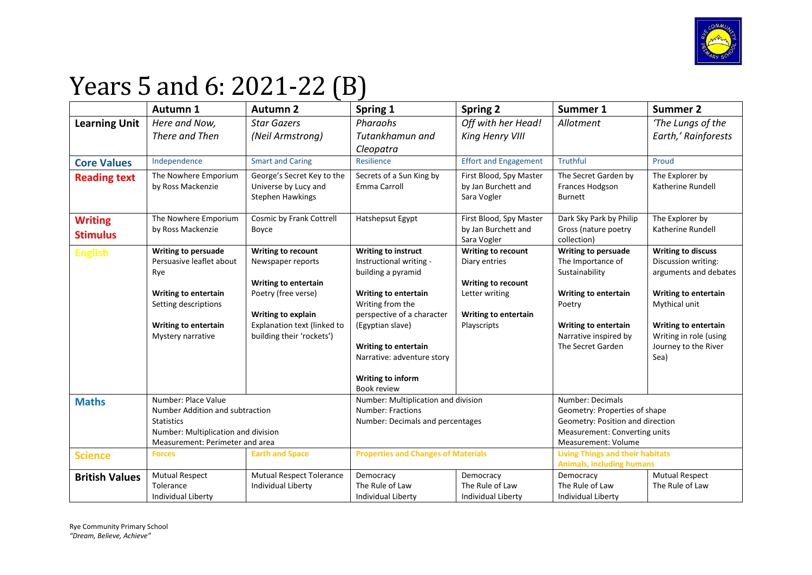

## Years 5 and 6: 2021-22 (B)

|                                 | Autumn 1                                                 | <b>Autumn 2</b>                                                               | Spring 1                                       | <b>Spring 2</b>                                               | Summer 1                                                          | <b>Summer 2</b>                                  |
|---------------------------------|----------------------------------------------------------|-------------------------------------------------------------------------------|------------------------------------------------|---------------------------------------------------------------|-------------------------------------------------------------------|--------------------------------------------------|
| <b>Learning Unit</b>            | Here and Now,                                            | <b>Star Gazers</b>                                                            | Pharaohs                                       | Off with her Head!                                            | Allotment                                                         | 'The Lungs of the                                |
|                                 | There and Then                                           | (Neil Armstrong)                                                              | Tutankhamun and                                | King Henry VIII                                               |                                                                   | Earth,' Rainforests                              |
|                                 |                                                          |                                                                               | Cleopatra                                      |                                                               |                                                                   |                                                  |
| <b>Core Values</b>              | Independence                                             | <b>Smart and Caring</b>                                                       | Resilience                                     | <b>Effort and Engagement</b>                                  | <b>Truthful</b>                                                   | Proud                                            |
| <b>Reading text</b>             | The Nowhere Emporium<br>by Ross Mackenzie                | George's Secret Key to the<br>Universe by Lucy and<br><b>Stephen Hawkings</b> | Secrets of a Sun King by<br>Emma Carroll       | First Blood, Spy Master<br>by Jan Burchett and<br>Sara Vogler | The Secret Garden by<br>Frances Hodgson<br>Burnett                | The Explorer by<br>Katherine Rundell             |
| <b>Writing</b>                  | The Nowhere Emporium                                     | Cosmic by Frank Cottrell                                                      | Hatshepsut Egypt                               | First Blood, Spy Master                                       | Dark Sky Park by Philip                                           | The Explorer by                                  |
| <b>Stimulus</b>                 | by Ross Mackenzie                                        | Boyce                                                                         |                                                | by Jan Burchett and                                           | Gross (nature poetry                                              | Katherine Rundell                                |
|                                 |                                                          |                                                                               |                                                | Sara Vogler                                                   | collection)                                                       |                                                  |
| <b>English</b>                  | Writing to persuade<br>Persuasive leaflet about          | Writing to recount<br>Newspaper reports                                       | Writing to instruct<br>Instructional writing - | Writing to recount<br>Diary entries                           | <b>Writing to persuade</b><br>The Importance of                   | <b>Writing to discuss</b><br>Discussion writing: |
|                                 | Rye                                                      |                                                                               | building a pyramid                             |                                                               | Sustainability                                                    | arguments and debates                            |
|                                 |                                                          | <b>Writing to entertain</b>                                                   |                                                | Writing to recount                                            |                                                                   |                                                  |
|                                 | <b>Writing to entertain</b>                              | Poetry (free verse)                                                           | Writing to entertain                           | Letter writing                                                | Writing to entertain                                              | Writing to entertain                             |
|                                 | Setting descriptions                                     |                                                                               | Writing from the                               |                                                               | Poetry                                                            | Mythical unit                                    |
|                                 |                                                          | Writing to explain                                                            | perspective of a character                     | <b>Writing to entertain</b>                                   |                                                                   |                                                  |
|                                 | <b>Writing to entertain</b>                              | Explanation text (linked to                                                   | (Egyptian slave)                               | Playscripts                                                   | Writing to entertain                                              | Writing to entertain                             |
|                                 | Mystery narrative                                        | building their 'rockets')                                                     | Writing to entertain                           |                                                               | Narrative inspired by<br>The Secret Garden                        | Writing in role (using<br>Journey to the River   |
|                                 |                                                          |                                                                               | Narrative: adventure story                     |                                                               |                                                                   | Sea)                                             |
|                                 |                                                          |                                                                               |                                                |                                                               |                                                                   |                                                  |
|                                 |                                                          |                                                                               | Writing to inform                              |                                                               |                                                                   |                                                  |
|                                 |                                                          |                                                                               | Book review                                    |                                                               |                                                                   |                                                  |
|                                 | Number: Place Value<br><b>Maths</b>                      |                                                                               | Number: Multiplication and division            |                                                               | Number: Decimals                                                  |                                                  |
|                                 | Number Addition and subtraction                          |                                                                               | Number: Fractions                              |                                                               | Geometry: Properties of shape                                     |                                                  |
|                                 | <b>Statistics</b><br>Number: Multiplication and division |                                                                               | Number: Decimals and percentages               |                                                               | Geometry: Position and direction<br>Measurement: Converting units |                                                  |
| Measurement: Perimeter and area |                                                          |                                                                               |                                                | Measurement: Volume                                           |                                                                   |                                                  |
| <b>Science</b>                  | <b>Earth and Space</b><br><b>Forces</b>                  |                                                                               | <b>Properties and Changes of Materials</b>     |                                                               | <b>Living Things and their habitats</b>                           |                                                  |
|                                 |                                                          |                                                                               |                                                |                                                               | <b>Animals, including humans</b>                                  |                                                  |
| <b>British Values</b>           | <b>Mutual Respect</b>                                    | <b>Mutual Respect Tolerance</b>                                               | Democracy                                      | Democracy                                                     | Democracy                                                         | <b>Mutual Respect</b>                            |
|                                 | Tolerance                                                | Individual Liberty                                                            | The Rule of Law                                | The Rule of Law                                               | The Rule of Law                                                   | The Rule of Law                                  |
|                                 | Individual Liberty                                       |                                                                               | Individual Liberty                             | Individual Liberty                                            | <b>Individual Liberty</b>                                         |                                                  |